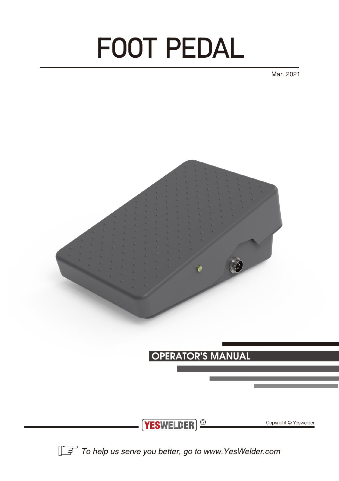# FOOT PEDAL

Mar. 2021



To help us serve you better, go to www.YesWelder.com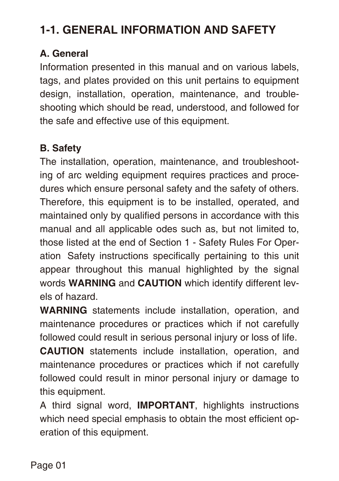## **1-1. GENERAL INFORMATION AND SAFETY**

#### **A. General**

Information presented in this manual and on various labels, tags, and plates provided on this unit pertains to equipment design, installation, operation, maintenance, and troubleshooting which should be read, understood, and followed for the safe and effective use of this equipment.

#### **B. Safety**

The installation, operation, maintenance, and troubleshooting of arc welding equipment requires practices and procedures which ensure personal safety and the safety of others. Therefore, this equipment is to be installed, operated, and maintained only by qualified persons in accordance with this manual and all applicable odes such as, but not limited to, those listed at the end of Section 1 - Safety Rules For Operation Safety instructions specifically pertaining to this unit appear throughout this manual highlighted by the signal words **WARNING** and **CAUTION** which identify different levels of hazard.

**WARNING** statements include installation, operation, and maintenance procedures or practices which if not carefully followed could result in serious personal injury or loss of life.

**CAUTION** statements include installation, operation, and maintenance procedures or practices which if not carefully followed could result in minor personal injury or damage to this equipment.

A third signal word, **IMPORTANT**, highlights instructions which need special emphasis to obtain the most efficient operation of this equipment.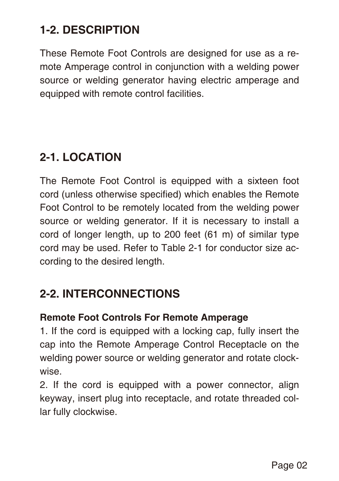## **1-2. DESCRIPTION**

These Remote Foot Controls are designed for use as a remote Amperage control in conjunction with a welding power source or welding generator having electric amperage and equipped with remote control facilities.

## **2-1. LOCATION**

The Remote Foot Control is equipped with a sixteen foot cord (unless otherwise specified) which enables the Remote Foot Control to be remotely located from the welding power source or welding generator. If it is necessary to install a cord of longer length, up to 200 feet (61 m) of similar type cord may be used. Refer to Table 2-1 for conductor size according to the desired length.

## **2-2. INTERCONNECTIONS**

#### **Remote Foot Controls For Remote Amperage**

1. If the cord is equipped with a locking cap, fully insert the cap into the Remote Amperage Control Receptacle on the welding power source or welding generator and rotate clockwise.

2. If the cord is equipped with a power connector, align keyway, insert plug into receptacle, and rotate threaded collar fully clockwise.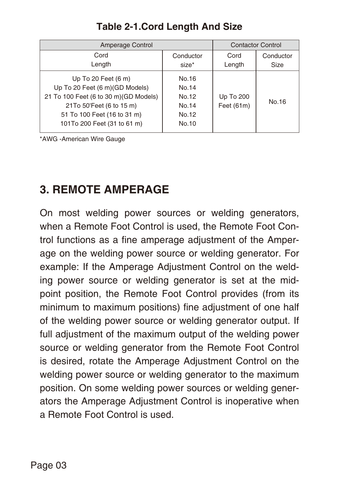| Amperage Control                                                                                                                                                                                    |                                                    | <b>Contactor Control</b> |                   |
|-----------------------------------------------------------------------------------------------------------------------------------------------------------------------------------------------------|----------------------------------------------------|--------------------------|-------------------|
| Cord<br>Length                                                                                                                                                                                      | Conductor<br>size*                                 | Cord<br>Length           | Conductor<br>Size |
| Up To 20 Feet $(6 \text{ m})$<br>Up To 20 Feet (6 m) (GD Models)<br>21 To 100 Feet (6 to 30 m)(GD Models)<br>21To 50'Feet (6 to 15 m)<br>51 To 100 Feet (16 to 31 m)<br>101To 200 Feet (31 to 61 m) | No.16<br>No.14<br>No.12<br>No.14<br>No.12<br>No.10 | Up To 200<br>Feet (61m)  | No.16             |

#### **Table 2-1.Cord Length And Size**

\*AWG -American Wire Gauge

## **3. REMOTE AMPERAGE**

On most welding power sources or welding generators, when a Remote Foot Control is used, the Remote Foot Control functions as a fine amperage adjustment of the Amperage on the welding power source or welding generator. For example: If the Amperage Adjustment Control on the welding power source or welding generator is set at the midpoint position, the Remote Foot Control provides (from its minimum to maximum positions) fine adjustment of one half of the welding power source or welding generator output. If full adjustment of the maximum output of the welding power source or welding generator from the Remote Foot Control is desired, rotate the Amperage Adjustment Control on the welding power source or welding generator to the maximum position. On some welding power sources or welding generators the Amperage Adjustment Control is inoperative when a Remote Foot Control is used.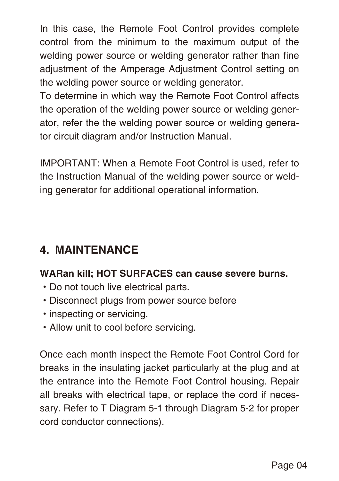In this case, the Remote Foot Control provides complete control from the minimum to the maximum output of the welding power source or welding generator rather than fine adjustment of the Amperage Adjustment Control setting on the welding power source or welding generator.

To determine in which way the Remote Foot Control affects the operation of the welding power source or welding generator, refer the the welding power source or welding generator circuit diagram and/or Instruction Manual.

IMPORTANT: When a Remote Foot Control is used, refer to the Instruction Manual of the welding power source or welding generator for additional operational information.

## **4. MAINTENANCE**

#### **WARan kill; HOT SURFACES can cause severe burns.**

- ·Do not touch live electrical parts.
- ·Disconnect plugs from power source before
- inspecting or servicing.
- ·Allow unit to cool before servicing.

Once each month inspect the Remote Foot Control Cord for breaks in the insulating jacket particularly at the plug and at the entrance into the Remote Foot Control housing. Repair all breaks with electrical tape, or replace the cord if necessary. Refer to T Diagram 5-1 through Diagram 5-2 for proper cord conductor connections).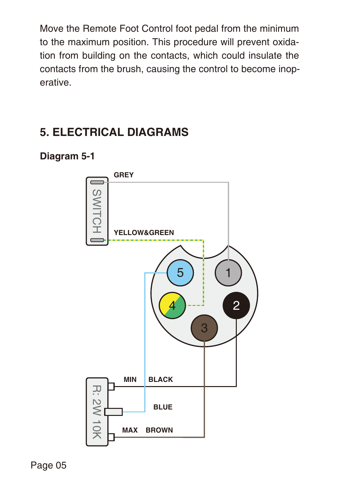Move the Remote Foot Control foot pedal from the minimum to the maximum position. This procedure will prevent oxidation from building on the contacts, which could insulate the contacts from the brush, causing the control to become inoperative.

## **5. ELECTRICAL DIAGRAMS**